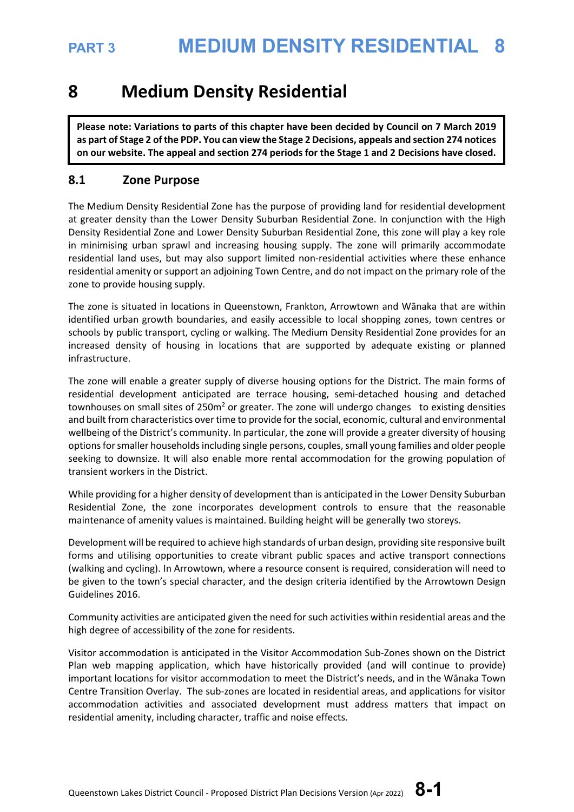## **8 Medium Density Residential**

**Please note: Variations to parts of this chapter have been decided by Council on 7 March 2019 as part of Stage 2 of the PDP. You can view the Stage 2 Decisions, appeals and section 274 notices on our website. The appeal and section 274 periods for the Stage 1 and 2 Decisions have closed.**

## **8.1 Zone Purpose**

The Medium Density Residential Zone has the purpose of providing land for residential development at greater density than the Lower Density Suburban Residential Zone. In conjunction with the High Density Residential Zone and Lower Density Suburban Residential Zone, this zone will play a key role in minimising urban sprawl and increasing housing supply. The zone will primarily accommodate residential land uses, but may also support limited non-residential activities where these enhance residential amenity or support an adjoining Town Centre, and do not impact on the primary role of the zone to provide housing supply.

The zone is situated in locations in Queenstown, Frankton, Arrowtown and Wānaka that are within identified urban growth boundaries, and easily accessible to local shopping zones, town centres or schools by public transport, cycling or walking. The Medium Density Residential Zone provides for an increased density of housing in locations that are supported by adequate existing or planned infrastructure.

The zone will enable a greater supply of diverse housing options for the District. The main forms of residential development anticipated are terrace housing, semi-detached housing and detached townhouses on small sites of 250m<sup>2</sup> or greater. The zone will undergo changes to existing densities and built from characteristics over time to provide for the social, economic, cultural and environmental wellbeing of the District's community. In particular, the zone will provide a greater diversity of housing options for smaller households including single persons, couples, small young families and older people seeking to downsize. It will also enable more rental accommodation for the growing population of transient workers in the District.

While providing for a higher density of development than is anticipated in the Lower Density Suburban Residential Zone, the zone incorporates development controls to ensure that the reasonable maintenance of amenity values is maintained. Building height will be generally two storeys.

Development will be required to achieve high standards of urban design, providing site responsive built forms and utilising opportunities to create vibrant public spaces and active transport connections (walking and cycling). In Arrowtown, where a resource consent is required, consideration will need to be given to the town's special character, and the design criteria identified by the Arrowtown Design Guidelines 2016.

Community activities are anticipated given the need for such activities within residential areas and the high degree of accessibility of the zone for residents.

Visitor accommodation is anticipated in the Visitor Accommodation Sub-Zones shown on the District Plan web mapping application, which have historically provided (and will continue to provide) important locations for visitor accommodation to meet the District's needs, and in the Wānaka Town Centre Transition Overlay. The sub-zones are located in residential areas, and applications for visitor accommodation activities and associated development must address matters that impact on residential amenity, including character, traffic and noise effects.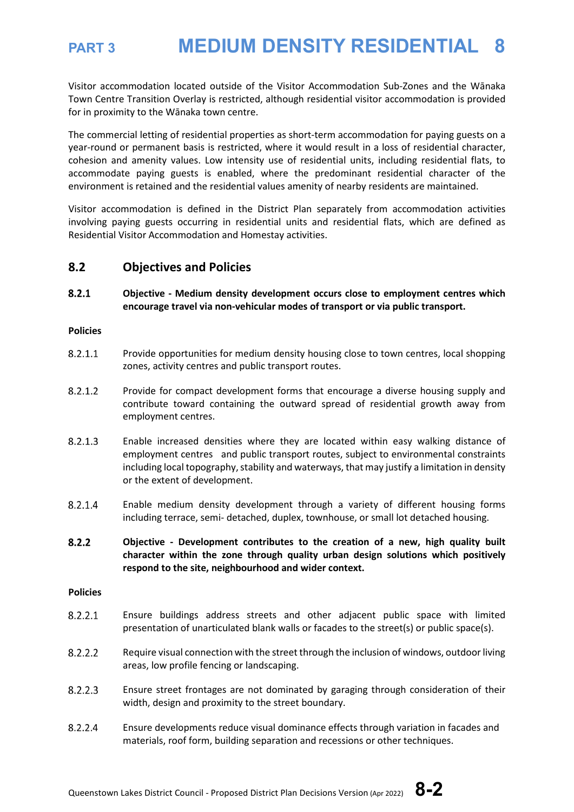Visitor accommodation located outside of the Visitor Accommodation Sub-Zones and the Wānaka Town Centre Transition Overlay is restricted, although residential visitor accommodation is provided for in proximity to the Wānaka town centre.

The commercial letting of residential properties as short-term accommodation for paying guests on a year-round or permanent basis is restricted, where it would result in a loss of residential character, cohesion and amenity values. Low intensity use of residential units, including residential flats, to accommodate paying guests is enabled, where the predominant residential character of the environment is retained and the residential values amenity of nearby residents are maintained.

Visitor accommodation is defined in the District Plan separately from accommodation activities involving paying guests occurring in residential units and residential flats, which are defined as Residential Visitor Accommodation and Homestay activities.

### **8.2 Objectives and Policies**

 $8.2.1$ **Objective - Medium density development occurs close to employment centres which encourage travel via non-vehicular modes of transport or via public transport.**

### **Policies**

- $8.2.1.1$ Provide opportunities for medium density housing close to town centres, local shopping zones, activity centres and public transport routes.
- $8.2.1.2$ Provide for compact development forms that encourage a diverse housing supply and contribute toward containing the outward spread of residential growth away from employment centres.
- 8.2.1.3 Enable increased densities where they are located within easy walking distance of employment centres and public transport routes, subject to environmental constraints including local topography, stability and waterways, that may justify a limitation in density or the extent of development.
- 8.2.1.4 Enable medium density development through a variety of different housing forms including terrace, semi- detached, duplex, townhouse, or small lot detached housing.
- $8.2.2$ **Objective - Development contributes to the creation of a new, high quality built character within the zone through quality urban design solutions which positively respond to the site, neighbourhood and wider context.**

### **Policies**

- $8.2.2.1$ Ensure buildings address streets and other adjacent public space with limited presentation of unarticulated blank walls or facades to the street(s) or public space(s).
- 8.2.2.2 Require visual connection with the street through the inclusion of windows, outdoor living areas, low profile fencing or landscaping.
- $8.2.2.3$ Ensure street frontages are not dominated by garaging through consideration of their width, design and proximity to the street boundary.
- 8.2.2.4 Ensure developments reduce visual dominance effects through variation in facades and materials, roof form, building separation and recessions or other techniques.

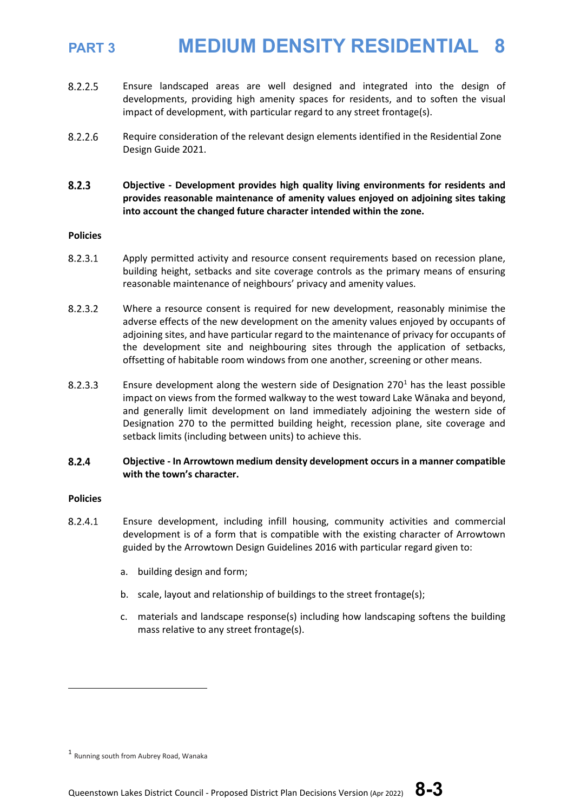- 8.2.2.5 Ensure landscaped areas are well designed and integrated into the design of developments, providing high amenity spaces for residents, and to soften the visual impact of development, with particular regard to any street frontage(s).
- 8.2.2.6 Require consideration of the relevant design elements identified in the Residential Zone Design Guide 2021.
- $8.2.3$ **Objective - Development provides high quality living environments for residents and provides reasonable maintenance of amenity values enjoyed on adjoining sites taking into account the changed future character intended within the zone.**

### **Policies**

- 8.2.3.1 Apply permitted activity and resource consent requirements based on recession plane, building height, setbacks and site coverage controls as the primary means of ensuring reasonable maintenance of neighbours' privacy and amenity values.
- $8.2.3.2$ Where a resource consent is required for new development, reasonably minimise the adverse effects of the new development on the amenity values enjoyed by occupants of adjoining sites, and have particular regard to the maintenance of privacy for occupants of the development site and neighbouring sites through the application of setbacks, offsetting of habitable room windows from one another, screening or other means.
- 8.2.3.3 Ensure development along the western side of Designation  $270<sup>1</sup>$  $270<sup>1</sup>$  $270<sup>1</sup>$  has the least possible impact on views from the formed walkway to the west toward Lake Wānaka and beyond, and generally limit development on land immediately adjoining the western side of Designation 270 to the permitted building height, recession plane, site coverage and setback limits (including between units) to achieve this.

### $8.2.4$ **Objective - In Arrowtown medium density development occurs in a manner compatible with the town's character.**

### **Policies**

- 8.2.4.1 Ensure development, including infill housing, community activities and commercial development is of a form that is compatible with the existing character of Arrowtown guided by the Arrowtown Design Guidelines 2016 with particular regard given to:
	- a. building design and form;
	- b. scale, layout and relationship of buildings to the street frontage(s);
	- c. materials and landscape response(s) including how landscaping softens the building mass relative to any street frontage(s).

<span id="page-2-0"></span><sup>1</sup> Running south from Aubrey Road, Wanaka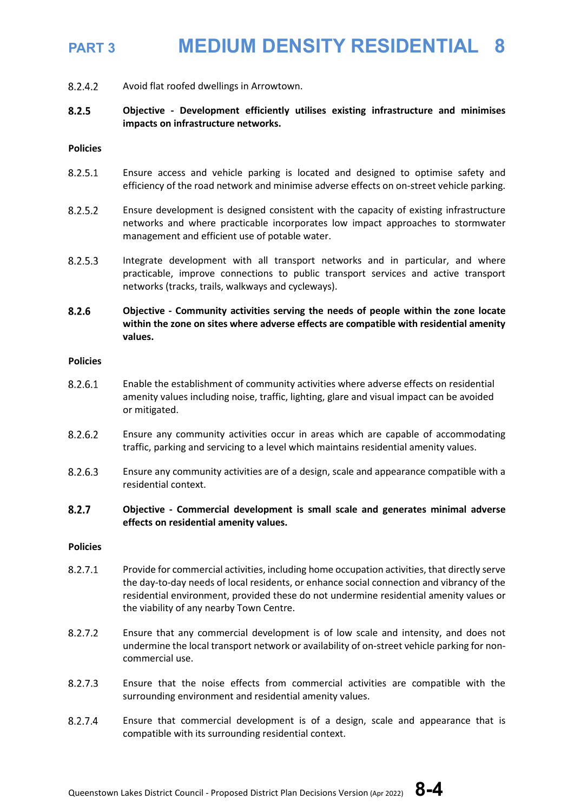8.2.4.2 Avoid flat roofed dwellings in Arrowtown.

### $8.2.5$ **Objective - Development efficiently utilises existing infrastructure and minimises impacts on infrastructure networks.**

### **Policies**

- 8.2.5.1 Ensure access and vehicle parking is located and designed to optimise safety and efficiency of the road network and minimise adverse effects on on-street vehicle parking.
- $8.2.5.2$ Ensure development is designed consistent with the capacity of existing infrastructure networks and where practicable incorporates low impact approaches to stormwater management and efficient use of potable water.
- 8.2.5.3 Integrate development with all transport networks and in particular, and where practicable, improve connections to public transport services and active transport networks (tracks, trails, walkways and cycleways).
- 8.2.6 **Objective - Community activities serving the needs of people within the zone locate within the zone on sites where adverse effects are compatible with residential amenity values.**

### **Policies**

- 8.2.6.1 Enable the establishment of community activities where adverse effects on residential amenity values including noise, traffic, lighting, glare and visual impact can be avoided or mitigated.
- 8.2.6.2 Ensure any community activities occur in areas which are capable of accommodating traffic, parking and servicing to a level which maintains residential amenity values.
- 8.2.6.3 Ensure any community activities are of a design, scale and appearance compatible with a residential context.

### $8.2.7$ **Objective - Commercial development is small scale and generates minimal adverse effects on residential amenity values.**

### **Policies**

- $8.2.7.1$ Provide for commercial activities, including home occupation activities, that directly serve the day-to-day needs of local residents, or enhance social connection and vibrancy of the residential environment, provided these do not undermine residential amenity values or the viability of any nearby Town Centre.
- 8.2.7.2 Ensure that any commercial development is of low scale and intensity, and does not undermine the local transport network or availability of on-street vehicle parking for noncommercial use.
- 8.2.7.3 Ensure that the noise effects from commercial activities are compatible with the surrounding environment and residential amenity values.
- 8.2.7.4 Ensure that commercial development is of a design, scale and appearance that is compatible with its surrounding residential context.

Queenstown Lakes District Council - Proposed District Plan Decisions Version (Apr 2022) **8-4**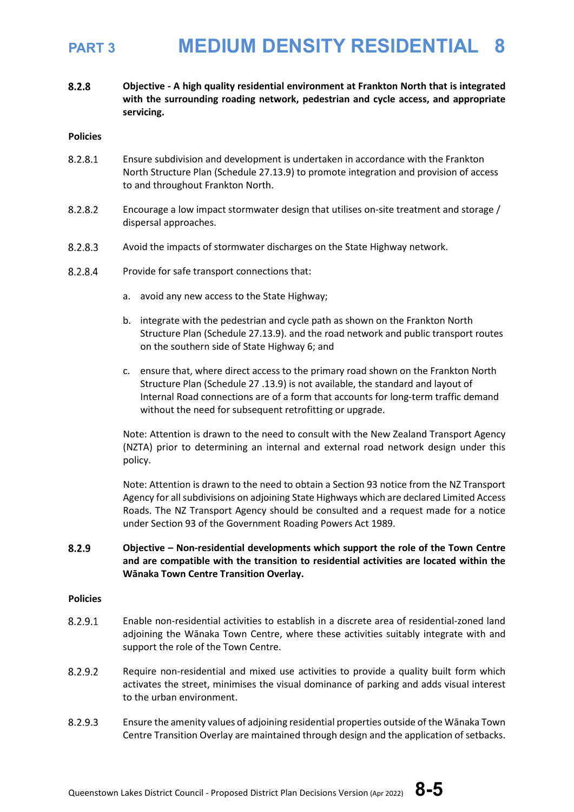8.2.8 **Objective - A high quality residential environment at Frankton North that is integrated with the surrounding roading network, pedestrian and cycle access, and appropriate servicing.**

### **Policies**

- 8.2.8.1 Ensure subdivision and development is undertaken in accordance with the Frankton North Structure Plan (Schedule 27.13.9) to promote integration and provision of access to and throughout Frankton North.
- 8.2.8.2 Encourage a low impact stormwater design that utilises on-site treatment and storage / dispersal approaches.
- 8.2.8.3 Avoid the impacts of stormwater discharges on the State Highway network.
- 8.2.8.4 Provide for safe transport connections that:
	- a. avoid any new access to the State Highway;
	- b. integrate with the pedestrian and cycle path as shown on the Frankton North Structure Plan (Schedule 27.13.9). and the road network and public transport routes on the southern side of State Highway 6; and
	- c. ensure that, where direct access to the primary road shown on the Frankton North Structure Plan (Schedule 27 .13.9) is not available, the standard and layout of Internal Road connections are of a form that accounts for long-term traffic demand without the need for subsequent retrofitting or upgrade.

Note: Attention is drawn to the need to consult with the New Zealand Transport Agency (NZTA) prior to determining an internal and external road network design under this policy.

Note: Attention is drawn to the need to obtain a Section 93 notice from the NZ Transport Agency for all subdivisions on adjoining State Highways which are declared Limited Access Roads. The NZ Transport Agency should be consulted and a request made for a notice under Section 93 of the Government Roading Powers Act 1989.

### 8.2.9 **Objective – Non-residential developments which support the role of the Town Centre and are compatible with the transition to residential activities are located within the Wānaka Town Centre Transition Overlay.**

### **Policies**

- 8.2.9.1 Enable non-residential activities to establish in a discrete area of residential-zoned land adjoining the Wānaka Town Centre, where these activities suitably integrate with and support the role of the Town Centre.
- 8.2.9.2 Require non-residential and mixed use activities to provide a quality built form which activates the street, minimises the visual dominance of parking and adds visual interest to the urban environment.
- 8.2.9.3 Ensure the amenity values of adjoining residential properties outside of the Wānaka Town Centre Transition Overlay are maintained through design and the application of setbacks.

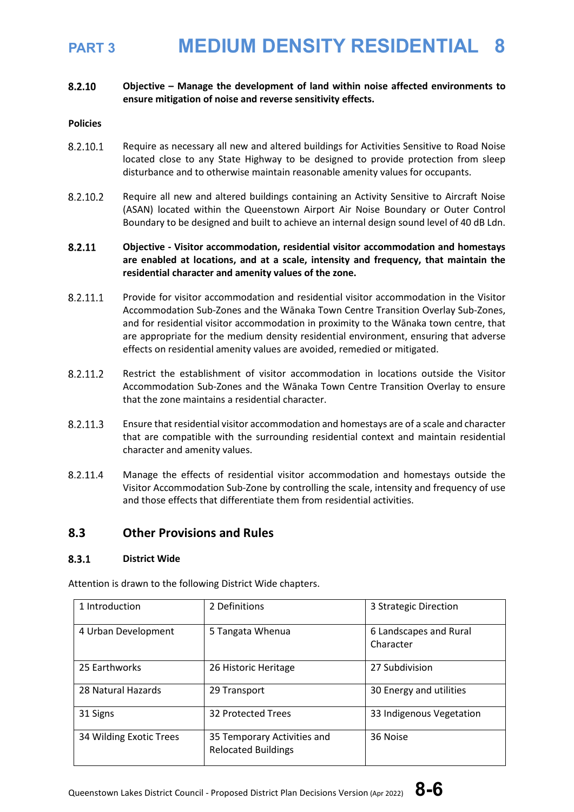### 8.2.10 **Objective – Manage the development of land within noise affected environments to ensure mitigation of noise and reverse sensitivity effects.**

### **Policies**

- 8.2.10.1 Require as necessary all new and altered buildings for Activities Sensitive to Road Noise located close to any State Highway to be designed to provide protection from sleep disturbance and to otherwise maintain reasonable amenity values for occupants.
- 8.2.10.2 Require all new and altered buildings containing an Activity Sensitive to Aircraft Noise (ASAN) located within the Queenstown Airport Air Noise Boundary or Outer Control Boundary to be designed and built to achieve an internal design sound level of 40 dB Ldn.

### 8.2.11 **Objective - Visitor accommodation, residential visitor accommodation and homestays are enabled at locations, and at a scale, intensity and frequency, that maintain the residential character and amenity values of the zone.**

- 8.2.11.1 Provide for visitor accommodation and residential visitor accommodation in the Visitor Accommodation Sub-Zones and the Wānaka Town Centre Transition Overlay Sub-Zones, and for residential visitor accommodation in proximity to the Wānaka town centre, that are appropriate for the medium density residential environment, ensuring that adverse effects on residential amenity values are avoided, remedied or mitigated.
- 8.2.11.2 Restrict the establishment of visitor accommodation in locations outside the Visitor Accommodation Sub-Zones and the Wānaka Town Centre Transition Overlay to ensure that the zone maintains a residential character.
- 8.2.11.3 Ensure that residential visitor accommodation and homestays are of a scale and character that are compatible with the surrounding residential context and maintain residential character and amenity values.
- 8.2.11.4 Manage the effects of residential visitor accommodation and homestays outside the Visitor Accommodation Sub-Zone by controlling the scale, intensity and frequency of use and those effects that differentiate them from residential activities.

### **8.3 Other Provisions and Rules**

### $8.3.1$ **District Wide**

Attention is drawn to the following District Wide chapters.

| 1 Introduction          | 2 Definitions                                             | 3 Strategic Direction               |
|-------------------------|-----------------------------------------------------------|-------------------------------------|
| 4 Urban Development     | 5 Tangata Whenua                                          | 6 Landscapes and Rural<br>Character |
| 25 Earthworks           | 26 Historic Heritage                                      | 27 Subdivision                      |
| 28 Natural Hazards      | 29 Transport                                              | 30 Energy and utilities             |
| 31 Signs                | 32 Protected Trees                                        | 33 Indigenous Vegetation            |
| 34 Wilding Exotic Trees | 35 Temporary Activities and<br><b>Relocated Buildings</b> | 36 Noise                            |

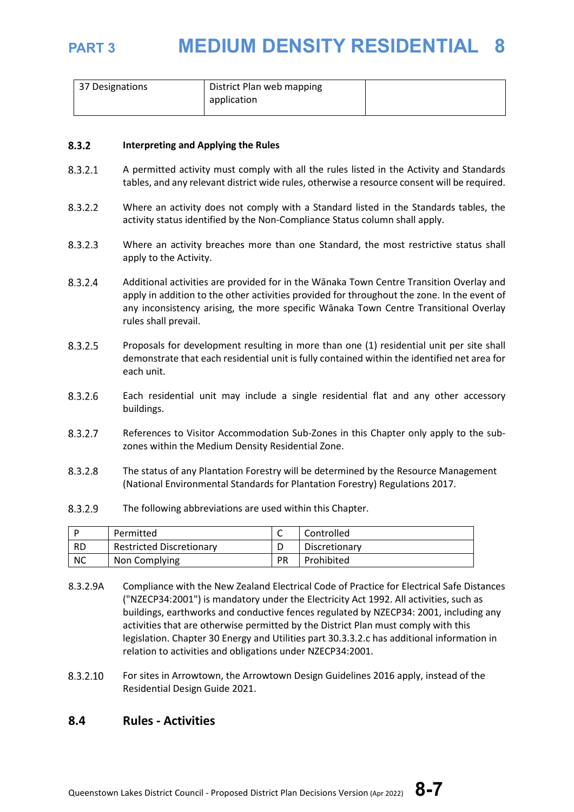

| 37 Designations | District Plan web mapping |  |
|-----------------|---------------------------|--|
|                 | application               |  |
|                 |                           |  |

### $8.3.2$ **Interpreting and Applying the Rules**

- $8.3.2.1$ A permitted activity must comply with all the rules listed in the Activity and Standards tables, and any relevant district wide rules, otherwise a resource consent will be required.
- Where an activity does not comply with a Standard listed in the Standards tables, the 8.3.2.2 activity status identified by the Non-Compliance Status column shall apply.
- 8.3.2.3 Where an activity breaches more than one Standard, the most restrictive status shall apply to the Activity.
- 8.3.2.4 Additional activities are provided for in the Wānaka Town Centre Transition Overlay and apply in addition to the other activities provided for throughout the zone. In the event of any inconsistency arising, the more specific Wānaka Town Centre Transitional Overlay rules shall prevail.
- 8.3.2.5 Proposals for development resulting in more than one (1) residential unit per site shall demonstrate that each residential unit is fully contained within the identified net area for each unit.
- 8.3.2.6 Each residential unit may include a single residential flat and any other accessory buildings.
- 8.3.2.7 References to Visitor Accommodation Sub-Zones in this Chapter only apply to the subzones within the Medium Density Residential Zone.
- 8.3.2.8 The status of any Plantation Forestry will be determined by the Resource Management (National Environmental Standards for Plantation Forestry) Regulations 2017.
- 8.3.2.9 The following abbreviations are used within this Chapter.

|           | Permitted                       | ∼         | Controlled    |
|-----------|---------------------------------|-----------|---------------|
| <b>RD</b> | <b>Restricted Discretionary</b> |           | Discretionary |
| <b>NC</b> | Non Complying                   | <b>PR</b> | Prohibited    |

- 8.3.2.9A Compliance with the New Zealand Electrical Code of Practice for Electrical Safe Distances ("NZECP34:2001") is mandatory under the Electricity Act 1992. All activities, such as buildings, earthworks and conductive fences regulated by NZECP34: 2001, including any activities that are otherwise permitted by the District Plan must comply with this legislation. Chapter 30 Energy and Utilities part 30.3.3.2.c has additional information in relation to activities and obligations under NZECP34:2001.
- 8.3.2.10 For sites in Arrowtown, the Arrowtown Design Guidelines 2016 apply, instead of the Residential Design Guide 2021.

### **8.4 Rules - Activities**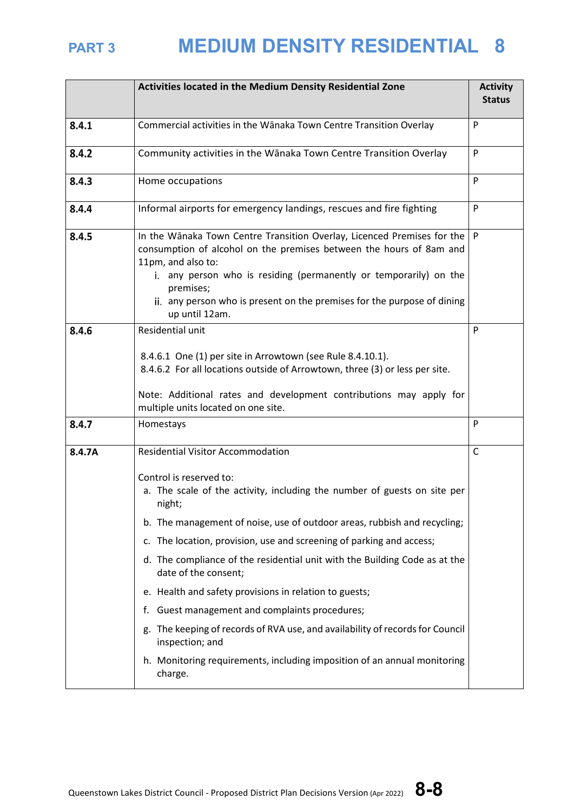|        | Activities located in the Medium Density Residential Zone                                                                                                                                                                                                                                                                                                                                                                                                                                                                                                                                                                                                                                                                     | <b>Activity</b><br><b>Status</b> |
|--------|-------------------------------------------------------------------------------------------------------------------------------------------------------------------------------------------------------------------------------------------------------------------------------------------------------------------------------------------------------------------------------------------------------------------------------------------------------------------------------------------------------------------------------------------------------------------------------------------------------------------------------------------------------------------------------------------------------------------------------|----------------------------------|
| 8.4.1  | Commercial activities in the Wānaka Town Centre Transition Overlay                                                                                                                                                                                                                                                                                                                                                                                                                                                                                                                                                                                                                                                            | P                                |
| 8.4.2  | Community activities in the Wānaka Town Centre Transition Overlay                                                                                                                                                                                                                                                                                                                                                                                                                                                                                                                                                                                                                                                             | P                                |
| 8.4.3  | Home occupations                                                                                                                                                                                                                                                                                                                                                                                                                                                                                                                                                                                                                                                                                                              | P                                |
| 8.4.4  | Informal airports for emergency landings, rescues and fire fighting                                                                                                                                                                                                                                                                                                                                                                                                                                                                                                                                                                                                                                                           | P                                |
| 8.4.5  | In the Wānaka Town Centre Transition Overlay, Licenced Premises for the $ P $<br>consumption of alcohol on the premises between the hours of 8am and<br>11pm, and also to:<br>i. any person who is residing (permanently or temporarily) on the<br>premises;<br>ii. any person who is present on the premises for the purpose of dining<br>up until 12am.                                                                                                                                                                                                                                                                                                                                                                     |                                  |
| 8.4.6  | Residential unit<br>8.4.6.1 One (1) per site in Arrowtown (see Rule 8.4.10.1).<br>8.4.6.2 For all locations outside of Arrowtown, three (3) or less per site.<br>Note: Additional rates and development contributions may apply for<br>multiple units located on one site.                                                                                                                                                                                                                                                                                                                                                                                                                                                    | P                                |
| 8.4.7  | Homestays                                                                                                                                                                                                                                                                                                                                                                                                                                                                                                                                                                                                                                                                                                                     | P                                |
| 8.4.7A | <b>Residential Visitor Accommodation</b><br>Control is reserved to:<br>a. The scale of the activity, including the number of guests on site per<br>night;<br>b. The management of noise, use of outdoor areas, rubbish and recycling;<br>c. The location, provision, use and screening of parking and access;<br>d. The compliance of the residential unit with the Building Code as at the<br>date of the consent;<br>e. Health and safety provisions in relation to guests;<br>Guest management and complaints procedures;<br>f.<br>g. The keeping of records of RVA use, and availability of records for Council<br>inspection; and<br>h. Monitoring requirements, including imposition of an annual monitoring<br>charge. | C                                |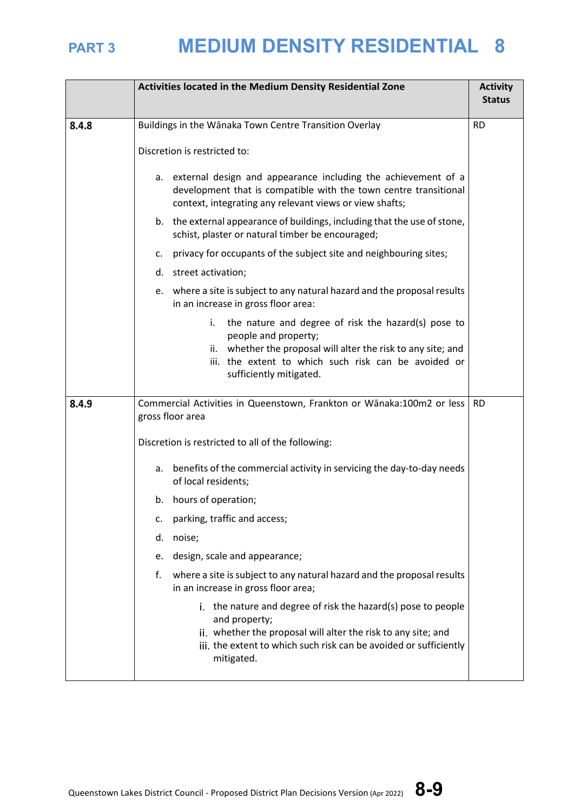|       | Activities located in the Medium Density Residential Zone                                                                                                                                                                             | <b>Activity</b><br><b>Status</b> |
|-------|---------------------------------------------------------------------------------------------------------------------------------------------------------------------------------------------------------------------------------------|----------------------------------|
| 8.4.8 | Buildings in the Wānaka Town Centre Transition Overlay<br>Discretion is restricted to:                                                                                                                                                | <b>RD</b>                        |
|       | a. external design and appearance including the achievement of a<br>development that is compatible with the town centre transitional<br>context, integrating any relevant views or view shafts;                                       |                                  |
|       | b. the external appearance of buildings, including that the use of stone,<br>schist, plaster or natural timber be encouraged;                                                                                                         |                                  |
|       | privacy for occupants of the subject site and neighbouring sites;<br>c.                                                                                                                                                               |                                  |
|       | d. street activation;                                                                                                                                                                                                                 |                                  |
|       | e. where a site is subject to any natural hazard and the proposal results<br>in an increase in gross floor area:                                                                                                                      |                                  |
|       | the nature and degree of risk the hazard(s) pose to<br>i.<br>people and property;<br>ii. whether the proposal will alter the risk to any site; and<br>iii. the extent to which such risk can be avoided or<br>sufficiently mitigated. |                                  |
| 8.4.9 | Commercial Activities in Queenstown, Frankton or Wānaka:100m2 or less<br>gross floor area                                                                                                                                             | <b>RD</b>                        |
|       | Discretion is restricted to all of the following:                                                                                                                                                                                     |                                  |
|       | benefits of the commercial activity in servicing the day-to-day needs<br>а.<br>of local residents;                                                                                                                                    |                                  |
|       | b. hours of operation;                                                                                                                                                                                                                |                                  |
|       | parking, traffic and access;<br>c.                                                                                                                                                                                                    |                                  |
|       | noise;<br>d.                                                                                                                                                                                                                          |                                  |
|       | design, scale and appearance;<br>e.                                                                                                                                                                                                   |                                  |
|       | where a site is subject to any natural hazard and the proposal results<br>f.<br>in an increase in gross floor area;                                                                                                                   |                                  |
|       | i. the nature and degree of risk the hazard(s) pose to people<br>and property;<br>ii. whether the proposal will alter the risk to any site; and<br>iii. the extent to which such risk can be avoided or sufficiently<br>mitigated.    |                                  |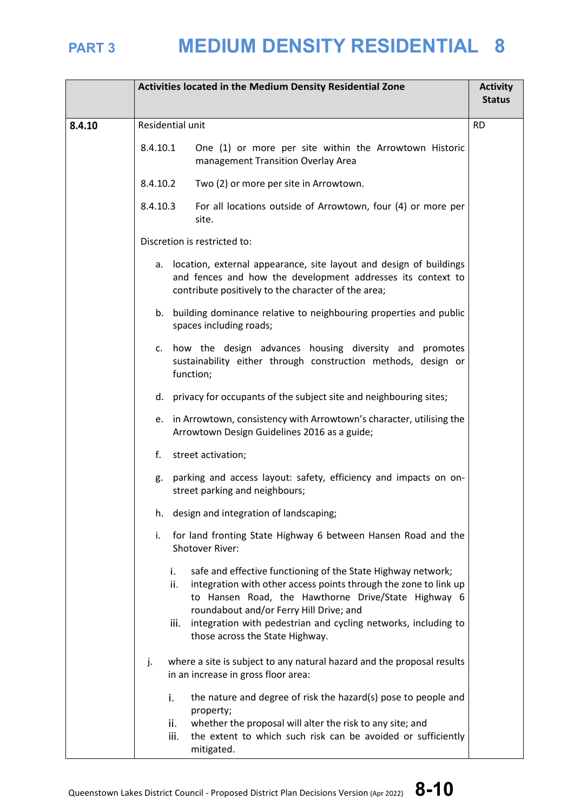|        | Activities located in the Medium Density Residential Zone |                                                                                                                                                                                                                                                                                                                           | <b>Activity</b><br><b>Status</b> |
|--------|-----------------------------------------------------------|---------------------------------------------------------------------------------------------------------------------------------------------------------------------------------------------------------------------------------------------------------------------------------------------------------------------------|----------------------------------|
| 8.4.10 |                                                           | Residential unit                                                                                                                                                                                                                                                                                                          | <b>RD</b>                        |
|        | 8.4.10.1                                                  | One (1) or more per site within the Arrowtown Historic<br>management Transition Overlay Area                                                                                                                                                                                                                              |                                  |
|        | 8.4.10.2                                                  | Two (2) or more per site in Arrowtown.                                                                                                                                                                                                                                                                                    |                                  |
|        | 8.4.10.3                                                  | For all locations outside of Arrowtown, four (4) or more per<br>site.                                                                                                                                                                                                                                                     |                                  |
|        |                                                           | Discretion is restricted to:                                                                                                                                                                                                                                                                                              |                                  |
|        |                                                           | a. location, external appearance, site layout and design of buildings<br>and fences and how the development addresses its context to<br>contribute positively to the character of the area;                                                                                                                               |                                  |
|        |                                                           | b. building dominance relative to neighbouring properties and public<br>spaces including roads;                                                                                                                                                                                                                           |                                  |
|        |                                                           | c. how the design advances housing diversity and promotes<br>sustainability either through construction methods, design or<br>function;                                                                                                                                                                                   |                                  |
|        |                                                           | d. privacy for occupants of the subject site and neighbouring sites;                                                                                                                                                                                                                                                      |                                  |
|        |                                                           | e. in Arrowtown, consistency with Arrowtown's character, utilising the<br>Arrowtown Design Guidelines 2016 as a guide;                                                                                                                                                                                                    |                                  |
|        |                                                           | f. street activation;                                                                                                                                                                                                                                                                                                     |                                  |
|        | g.                                                        | parking and access layout: safety, efficiency and impacts on on-<br>street parking and neighbours;                                                                                                                                                                                                                        |                                  |
|        |                                                           | h. design and integration of landscaping;                                                                                                                                                                                                                                                                                 |                                  |
|        | i.                                                        | for land fronting State Highway 6 between Hansen Road and the<br>Shotover River:                                                                                                                                                                                                                                          |                                  |
|        |                                                           | safe and effective functioning of the State Highway network;<br>i.<br>integration with other access points through the zone to link up<br>ii.<br>to Hansen Road, the Hawthorne Drive/State Highway 6<br>roundabout and/or Ferry Hill Drive; and<br>integration with pedestrian and cycling networks, including to<br>iii. |                                  |
|        |                                                           | those across the State Highway.                                                                                                                                                                                                                                                                                           |                                  |
|        | j.                                                        | where a site is subject to any natural hazard and the proposal results<br>in an increase in gross floor area:                                                                                                                                                                                                             |                                  |
|        |                                                           | the nature and degree of risk the hazard(s) pose to people and<br>i.<br>property;                                                                                                                                                                                                                                         |                                  |
|        |                                                           | ii.<br>whether the proposal will alter the risk to any site; and<br>iii.<br>the extent to which such risk can be avoided or sufficiently<br>mitigated.                                                                                                                                                                    |                                  |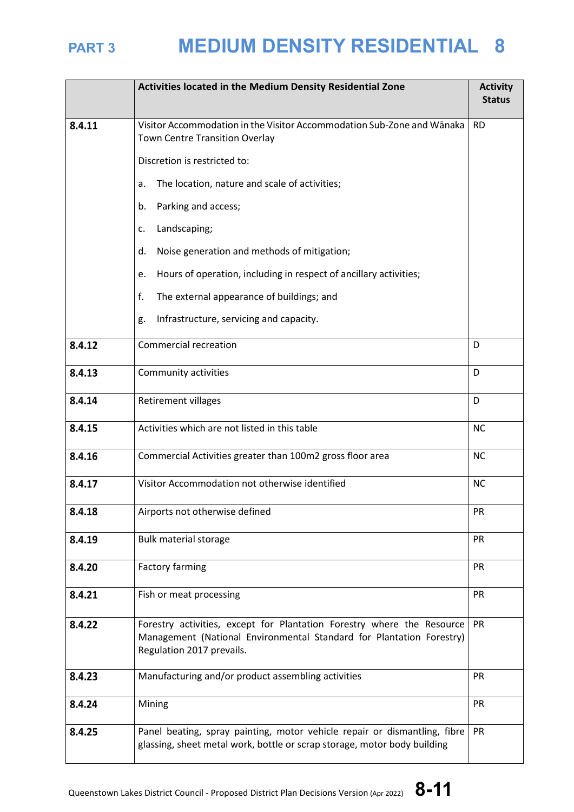|        | Activities located in the Medium Density Residential Zone                                                                                                                                | <b>Activity</b><br><b>Status</b> |
|--------|------------------------------------------------------------------------------------------------------------------------------------------------------------------------------------------|----------------------------------|
| 8.4.11 | Visitor Accommodation in the Visitor Accommodation Sub-Zone and Wānaka<br>Town Centre Transition Overlay                                                                                 | <b>RD</b>                        |
|        | Discretion is restricted to:                                                                                                                                                             |                                  |
|        | The location, nature and scale of activities;<br>a.                                                                                                                                      |                                  |
|        | Parking and access;<br>b.                                                                                                                                                                |                                  |
|        | Landscaping;<br>c.                                                                                                                                                                       |                                  |
|        | Noise generation and methods of mitigation;<br>d.                                                                                                                                        |                                  |
|        | Hours of operation, including in respect of ancillary activities;<br>e.                                                                                                                  |                                  |
|        | f.<br>The external appearance of buildings; and                                                                                                                                          |                                  |
|        | Infrastructure, servicing and capacity.<br>g.                                                                                                                                            |                                  |
| 8.4.12 | <b>Commercial recreation</b>                                                                                                                                                             | D                                |
| 8.4.13 | Community activities                                                                                                                                                                     | D                                |
| 8.4.14 | Retirement villages                                                                                                                                                                      | D                                |
| 8.4.15 | Activities which are not listed in this table                                                                                                                                            | <b>NC</b>                        |
| 8.4.16 | Commercial Activities greater than 100m2 gross floor area                                                                                                                                | <b>NC</b>                        |
| 8.4.17 | Visitor Accommodation not otherwise identified<br><b>NC</b>                                                                                                                              |                                  |
| 8.4.18 | Airports not otherwise defined                                                                                                                                                           | PR                               |
| 8.4.19 | <b>Bulk material storage</b>                                                                                                                                                             | PR                               |
| 8.4.20 | <b>Factory farming</b>                                                                                                                                                                   | PR                               |
| 8.4.21 | Fish or meat processing                                                                                                                                                                  | PR                               |
| 8.4.22 | Forestry activities, except for Plantation Forestry where the Resource<br><b>PR</b><br>Management (National Environmental Standard for Plantation Forestry)<br>Regulation 2017 prevails. |                                  |
| 8.4.23 | Manufacturing and/or product assembling activities                                                                                                                                       | PR                               |
| 8.4.24 | PR<br>Mining                                                                                                                                                                             |                                  |
| 8.4.25 | Panel beating, spray painting, motor vehicle repair or dismantling, fibre<br>glassing, sheet metal work, bottle or scrap storage, motor body building                                    | PR                               |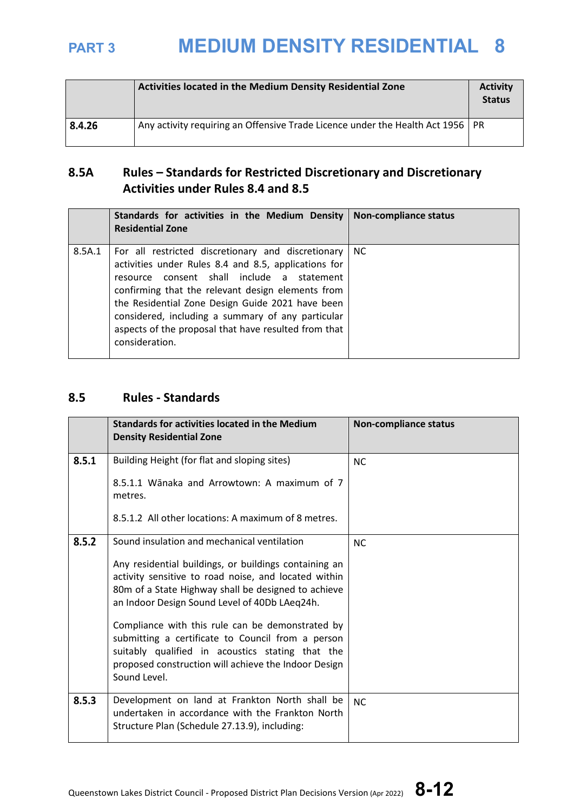|        | Activities located in the Medium Density Residential Zone                        | <b>Activity</b><br><b>Status</b> |
|--------|----------------------------------------------------------------------------------|----------------------------------|
| 8.4.26 | Any activity requiring an Offensive Trade Licence under the Health Act 1956   PR |                                  |

## **8.5A Rules – Standards for Restricted Discretionary and Discretionary Activities under Rules 8.4 and 8.5**

|        | Standards for activities in the Medium Density<br><b>Residential Zone</b>                                                                                                                                                                                                                                                                                                                        | Non-compliance status |
|--------|--------------------------------------------------------------------------------------------------------------------------------------------------------------------------------------------------------------------------------------------------------------------------------------------------------------------------------------------------------------------------------------------------|-----------------------|
| 8.5A.1 | For all restricted discretionary and discretionary<br>activities under Rules 8.4 and 8.5, applications for<br>resource consent shall include a statement<br>confirming that the relevant design elements from<br>the Residential Zone Design Guide 2021 have been<br>considered, including a summary of any particular<br>aspects of the proposal that have resulted from that<br>consideration. | <b>NC</b>             |

## **8.5 Rules - Standards**

|       | Standards for activities located in the Medium<br><b>Density Residential Zone</b>                                                                                                                                                 | <b>Non-compliance status</b> |
|-------|-----------------------------------------------------------------------------------------------------------------------------------------------------------------------------------------------------------------------------------|------------------------------|
| 8.5.1 | Building Height (for flat and sloping sites)                                                                                                                                                                                      | <b>NC</b>                    |
|       | 8.5.1.1 Wānaka and Arrowtown: A maximum of 7<br>metres.                                                                                                                                                                           |                              |
|       | 8.5.1.2 All other locations: A maximum of 8 metres.                                                                                                                                                                               |                              |
| 8.5.2 | Sound insulation and mechanical ventilation                                                                                                                                                                                       | <b>NC</b>                    |
|       | Any residential buildings, or buildings containing an<br>activity sensitive to road noise, and located within<br>80m of a State Highway shall be designed to achieve<br>an Indoor Design Sound Level of 40Db LAeq24h.             |                              |
|       | Compliance with this rule can be demonstrated by<br>submitting a certificate to Council from a person<br>suitably qualified in acoustics stating that the<br>proposed construction will achieve the Indoor Design<br>Sound Level. |                              |
| 8.5.3 | Development on land at Frankton North shall be<br>undertaken in accordance with the Frankton North<br>Structure Plan (Schedule 27.13.9), including:                                                                               | <b>NC</b>                    |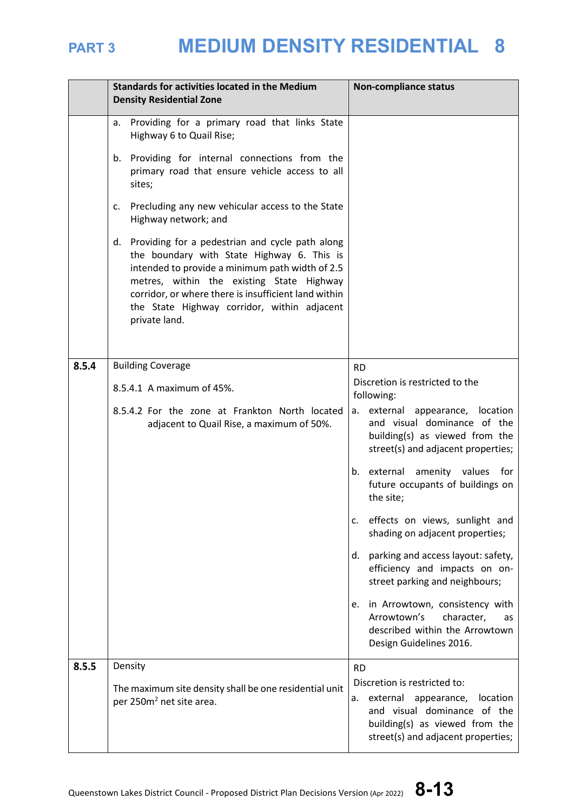

|       | <b>Standards for activities located in the Medium</b><br><b>Density Residential Zone</b>                                                                                                                                                                                                                                 | <b>Non-compliance status</b>                                                                                                                                                  |  |  |
|-------|--------------------------------------------------------------------------------------------------------------------------------------------------------------------------------------------------------------------------------------------------------------------------------------------------------------------------|-------------------------------------------------------------------------------------------------------------------------------------------------------------------------------|--|--|
|       | Providing for a primary road that links State<br>a.<br>Highway 6 to Quail Rise;                                                                                                                                                                                                                                          |                                                                                                                                                                               |  |  |
|       | Providing for internal connections from the<br>b.<br>primary road that ensure vehicle access to all<br>sites;                                                                                                                                                                                                            |                                                                                                                                                                               |  |  |
|       | Precluding any new vehicular access to the State<br>c.<br>Highway network; and                                                                                                                                                                                                                                           |                                                                                                                                                                               |  |  |
|       | d. Providing for a pedestrian and cycle path along<br>the boundary with State Highway 6. This is<br>intended to provide a minimum path width of 2.5<br>metres, within the existing State Highway<br>corridor, or where there is insufficient land within<br>the State Highway corridor, within adjacent<br>private land. |                                                                                                                                                                               |  |  |
| 8.5.4 | <b>Building Coverage</b>                                                                                                                                                                                                                                                                                                 | <b>RD</b>                                                                                                                                                                     |  |  |
|       | 8.5.4.1 A maximum of 45%.                                                                                                                                                                                                                                                                                                | Discretion is restricted to the<br>following:                                                                                                                                 |  |  |
|       | 8.5.4.2 For the zone at Frankton North located<br>adjacent to Quail Rise, a maximum of 50%.                                                                                                                                                                                                                              | external appearance, location<br>а.<br>and visual dominance of the<br>building(s) as viewed from the<br>street(s) and adjacent properties;                                    |  |  |
|       |                                                                                                                                                                                                                                                                                                                          | b. external amenity values<br>for<br>future occupants of buildings on<br>the site;                                                                                            |  |  |
|       |                                                                                                                                                                                                                                                                                                                          | effects on views, sunlight and<br>c.<br>shading on adjacent properties;                                                                                                       |  |  |
|       |                                                                                                                                                                                                                                                                                                                          | parking and access layout: safety,<br>d.<br>efficiency and impacts on on-<br>street parking and neighbours;                                                                   |  |  |
|       |                                                                                                                                                                                                                                                                                                                          | in Arrowtown, consistency with<br>е.<br>Arrowtown's<br>character,<br>as<br>described within the Arrowtown<br>Design Guidelines 2016.                                          |  |  |
| 8.5.5 | Density                                                                                                                                                                                                                                                                                                                  | <b>RD</b>                                                                                                                                                                     |  |  |
|       | The maximum site density shall be one residential unit<br>per 250m <sup>2</sup> net site area.                                                                                                                                                                                                                           | Discretion is restricted to:<br>external appearance,<br>location<br>а.<br>and visual dominance of the<br>building(s) as viewed from the<br>street(s) and adjacent properties; |  |  |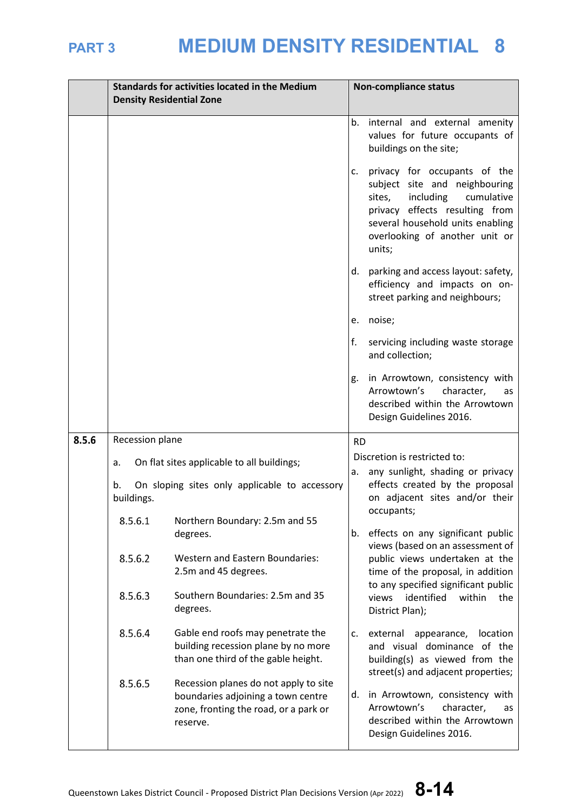|       |                                                                                                                            | <b>Standards for activities located in the Medium</b><br><b>Density Residential Zone</b>                                         |           | <b>Non-compliance status</b>                                                                                                                                                                                         |
|-------|----------------------------------------------------------------------------------------------------------------------------|----------------------------------------------------------------------------------------------------------------------------------|-----------|----------------------------------------------------------------------------------------------------------------------------------------------------------------------------------------------------------------------|
|       |                                                                                                                            |                                                                                                                                  | b.        | internal and external amenity<br>values for future occupants of<br>buildings on the site;                                                                                                                            |
|       |                                                                                                                            |                                                                                                                                  | c.        | privacy for occupants of the<br>subject site and neighbouring<br>including<br>sites,<br>cumulative<br>privacy effects resulting from<br>several household units enabling<br>overlooking of another unit or<br>units; |
|       |                                                                                                                            |                                                                                                                                  | d.        | parking and access layout: safety,<br>efficiency and impacts on on-<br>street parking and neighbours;                                                                                                                |
|       |                                                                                                                            |                                                                                                                                  | e.        | noise;                                                                                                                                                                                                               |
|       |                                                                                                                            |                                                                                                                                  | f.        | servicing including waste storage<br>and collection;                                                                                                                                                                 |
|       |                                                                                                                            |                                                                                                                                  | g.        | in Arrowtown, consistency with<br>Arrowtown's<br>character,<br>as<br>described within the Arrowtown<br>Design Guidelines 2016.                                                                                       |
| 8.5.6 | Recession plane                                                                                                            |                                                                                                                                  | <b>RD</b> |                                                                                                                                                                                                                      |
|       | On flat sites applicable to all buildings;<br>a.<br>On sloping sites only applicable to accessory<br>b.<br>buildings.      |                                                                                                                                  |           | Discretion is restricted to:<br>any sunlight, shading or privacy                                                                                                                                                     |
|       |                                                                                                                            |                                                                                                                                  | а.        | effects created by the proposal<br>on adjacent sites and/or their<br>occupants;                                                                                                                                      |
|       | 8.5.6.1                                                                                                                    | Northern Boundary: 2.5m and 55<br>degrees.                                                                                       | b.        | effects on any significant public<br>views (based on an assessment of                                                                                                                                                |
|       | 8.5.6.2                                                                                                                    | <b>Western and Eastern Boundaries:</b><br>2.5m and 45 degrees.                                                                   |           | public views undertaken at the<br>time of the proposal, in addition                                                                                                                                                  |
|       | 8.5.6.3                                                                                                                    | Southern Boundaries: 2.5m and 35<br>degrees.                                                                                     |           | to any specified significant public<br>identified<br>within<br>views<br>the<br>District Plan);                                                                                                                       |
|       | 8.5.6.4<br>Gable end roofs may penetrate the<br>building recession plane by no more<br>than one third of the gable height. |                                                                                                                                  | c.        | external<br>appearance, location<br>and visual dominance of the<br>building(s) as viewed from the<br>street(s) and adjacent properties;                                                                              |
|       | 8.5.6.5                                                                                                                    | Recession planes do not apply to site<br>boundaries adjoining a town centre<br>zone, fronting the road, or a park or<br>reserve. | d.        | in Arrowtown, consistency with<br>Arrowtown's<br>character,<br>as<br>described within the Arrowtown<br>Design Guidelines 2016.                                                                                       |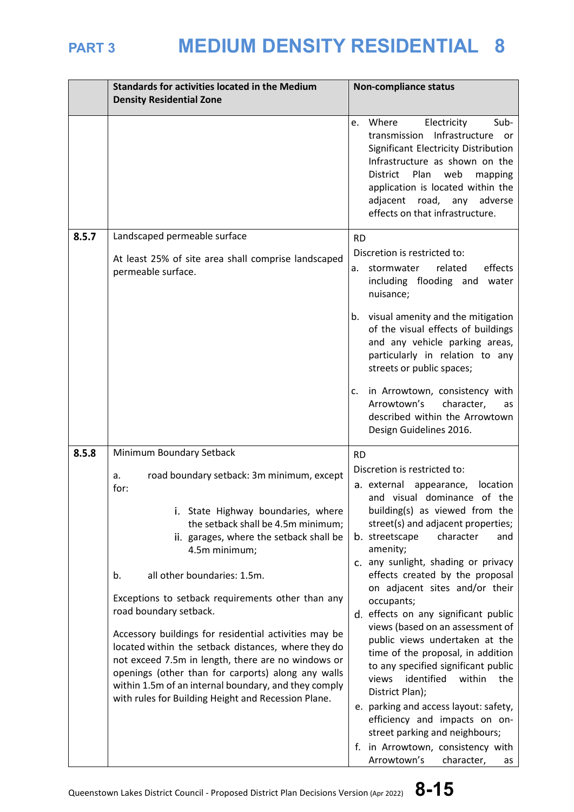|       | <b>Standards for activities located in the Medium</b>                                                                                                                                                                                                                                                                                                                                                                                                                                                                                                                                                                                                       | <b>Non-compliance status</b>                                                                                                                                                                                                                                                                                                                                                                                                                                                                                                                                                                                                                      |  |
|-------|-------------------------------------------------------------------------------------------------------------------------------------------------------------------------------------------------------------------------------------------------------------------------------------------------------------------------------------------------------------------------------------------------------------------------------------------------------------------------------------------------------------------------------------------------------------------------------------------------------------------------------------------------------------|---------------------------------------------------------------------------------------------------------------------------------------------------------------------------------------------------------------------------------------------------------------------------------------------------------------------------------------------------------------------------------------------------------------------------------------------------------------------------------------------------------------------------------------------------------------------------------------------------------------------------------------------------|--|
|       | <b>Density Residential Zone</b>                                                                                                                                                                                                                                                                                                                                                                                                                                                                                                                                                                                                                             |                                                                                                                                                                                                                                                                                                                                                                                                                                                                                                                                                                                                                                                   |  |
|       |                                                                                                                                                                                                                                                                                                                                                                                                                                                                                                                                                                                                                                                             | Electricity<br>Sub-<br>Where<br>e.<br>Infrastructure or<br>transmission<br>Significant Electricity Distribution<br>Infrastructure as shown on the<br><b>District</b><br>Plan<br>web<br>mapping<br>application is located within the<br>adjacent road, any adverse<br>effects on that infrastructure.                                                                                                                                                                                                                                                                                                                                              |  |
| 8.5.7 | Landscaped permeable surface                                                                                                                                                                                                                                                                                                                                                                                                                                                                                                                                                                                                                                | <b>RD</b>                                                                                                                                                                                                                                                                                                                                                                                                                                                                                                                                                                                                                                         |  |
|       | At least 25% of site area shall comprise landscaped<br>permeable surface.                                                                                                                                                                                                                                                                                                                                                                                                                                                                                                                                                                                   | Discretion is restricted to:<br>related<br>effects<br>stormwater<br>a.<br>including flooding and water<br>nuisance;                                                                                                                                                                                                                                                                                                                                                                                                                                                                                                                               |  |
|       |                                                                                                                                                                                                                                                                                                                                                                                                                                                                                                                                                                                                                                                             | b. visual amenity and the mitigation<br>of the visual effects of buildings<br>and any vehicle parking areas,<br>particularly in relation to any<br>streets or public spaces;                                                                                                                                                                                                                                                                                                                                                                                                                                                                      |  |
|       |                                                                                                                                                                                                                                                                                                                                                                                                                                                                                                                                                                                                                                                             | in Arrowtown, consistency with<br>c.<br>Arrowtown's<br>character,<br>as<br>described within the Arrowtown<br>Design Guidelines 2016.                                                                                                                                                                                                                                                                                                                                                                                                                                                                                                              |  |
| 8.5.8 | Minimum Boundary Setback                                                                                                                                                                                                                                                                                                                                                                                                                                                                                                                                                                                                                                    | <b>RD</b>                                                                                                                                                                                                                                                                                                                                                                                                                                                                                                                                                                                                                                         |  |
|       | road boundary setback: 3m minimum, except<br>a.<br>for:<br>State Highway boundaries, where<br>the setback shall be 4.5m minimum;<br>ii. garages, where the setback shall be<br>4.5m minimum;<br>all other boundaries: 1.5m.<br>b.<br>Exceptions to setback requirements other than any<br>road boundary setback.<br>Accessory buildings for residential activities may be<br>located within the setback distances, where they do<br>not exceed 7.5m in length, there are no windows or<br>openings (other than for carports) along any walls<br>within 1.5m of an internal boundary, and they comply<br>with rules for Building Height and Recession Plane. | Discretion is restricted to:<br>a. external appearance, location<br>and visual dominance of the<br>building(s) as viewed from the<br>street(s) and adjacent properties;<br>b. streetscape<br>character<br>and<br>amenity;<br>c. any sunlight, shading or privacy<br>effects created by the proposal<br>on adjacent sites and/or their<br>occupants;<br>d. effects on any significant public<br>views (based on an assessment of<br>public views undertaken at the<br>time of the proposal, in addition<br>to any specified significant public<br>identified<br>within<br>views<br>the<br>District Plan);<br>e. parking and access layout: safety, |  |
|       |                                                                                                                                                                                                                                                                                                                                                                                                                                                                                                                                                                                                                                                             | efficiency and impacts on on-<br>street parking and neighbours;<br>f. in Arrowtown, consistency with<br>Arrowtown's<br>character,<br>as                                                                                                                                                                                                                                                                                                                                                                                                                                                                                                           |  |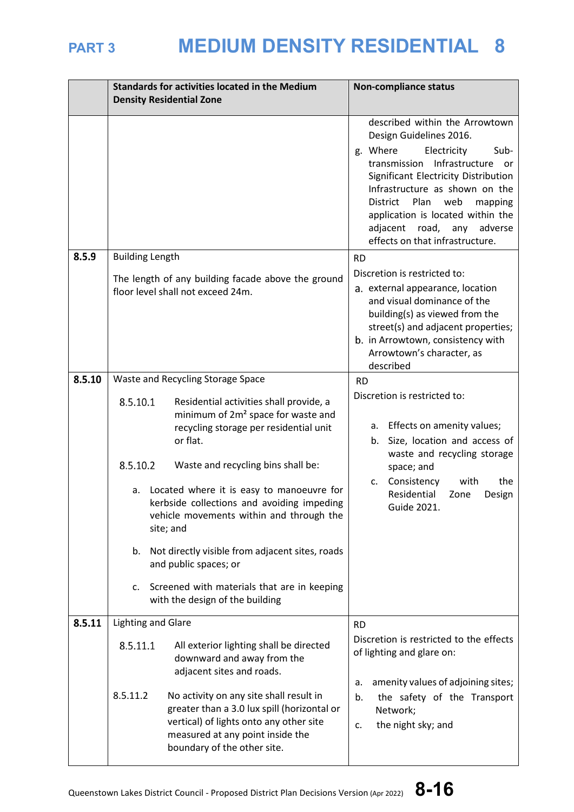|        | <b>Standards for activities located in the Medium</b>                                                                                                                                                            | <b>Non-compliance status</b>                                                                                                                                                                                                                                                                            |  |
|--------|------------------------------------------------------------------------------------------------------------------------------------------------------------------------------------------------------------------|---------------------------------------------------------------------------------------------------------------------------------------------------------------------------------------------------------------------------------------------------------------------------------------------------------|--|
|        | <b>Density Residential Zone</b>                                                                                                                                                                                  |                                                                                                                                                                                                                                                                                                         |  |
|        |                                                                                                                                                                                                                  | described within the Arrowtown<br>Design Guidelines 2016.                                                                                                                                                                                                                                               |  |
|        |                                                                                                                                                                                                                  | g. Where<br>Electricity<br>Sub-<br>Infrastructure<br>transmission<br><b>or</b><br>Significant Electricity Distribution<br>Infrastructure as shown on the<br>District<br>Plan<br>web<br>mapping<br>application is located within the<br>adjacent road, any<br>adverse<br>effects on that infrastructure. |  |
| 8.5.9  | <b>Building Length</b>                                                                                                                                                                                           | <b>RD</b>                                                                                                                                                                                                                                                                                               |  |
|        | The length of any building facade above the ground<br>floor level shall not exceed 24m.                                                                                                                          | Discretion is restricted to:<br>a. external appearance, location<br>and visual dominance of the<br>building(s) as viewed from the<br>street(s) and adjacent properties;<br>b. in Arrowtown, consistency with<br>Arrowtown's character, as<br>described                                                  |  |
| 8.5.10 | Waste and Recycling Storage Space                                                                                                                                                                                | <b>RD</b>                                                                                                                                                                                                                                                                                               |  |
|        | 8.5.10.1<br>Residential activities shall provide, a<br>minimum of 2m <sup>2</sup> space for waste and<br>recycling storage per residential unit<br>or flat.                                                      | Discretion is restricted to:<br>a. Effects on amenity values;<br>b. Size, location and access of<br>waste and recycling storage                                                                                                                                                                         |  |
|        | 8.5.10.2<br>Waste and recycling bins shall be:                                                                                                                                                                   | space; and                                                                                                                                                                                                                                                                                              |  |
|        | Located where it is easy to manoeuvre for<br>a.<br>kerbside collections and avoiding impeding<br>vehicle movements within and through the<br>site; and                                                           | c. Consistency<br>the<br>with<br>Residential<br>Zone<br>Design<br>Guide 2021.                                                                                                                                                                                                                           |  |
|        | b. Not directly visible from adjacent sites, roads<br>and public spaces; or                                                                                                                                      |                                                                                                                                                                                                                                                                                                         |  |
|        | Screened with materials that are in keeping<br>C.<br>with the design of the building                                                                                                                             |                                                                                                                                                                                                                                                                                                         |  |
| 8.5.11 | <b>Lighting and Glare</b>                                                                                                                                                                                        | <b>RD</b>                                                                                                                                                                                                                                                                                               |  |
|        | 8.5.11.1<br>All exterior lighting shall be directed<br>downward and away from the<br>adjacent sites and roads.                                                                                                   | Discretion is restricted to the effects<br>of lighting and glare on:<br>amenity values of adjoining sites;<br>a.                                                                                                                                                                                        |  |
|        | 8.5.11.2<br>No activity on any site shall result in<br>greater than a 3.0 lux spill (horizontal or<br>vertical) of lights onto any other site<br>measured at any point inside the<br>boundary of the other site. | the safety of the Transport<br>b.<br>Network;<br>the night sky; and<br>c.                                                                                                                                                                                                                               |  |

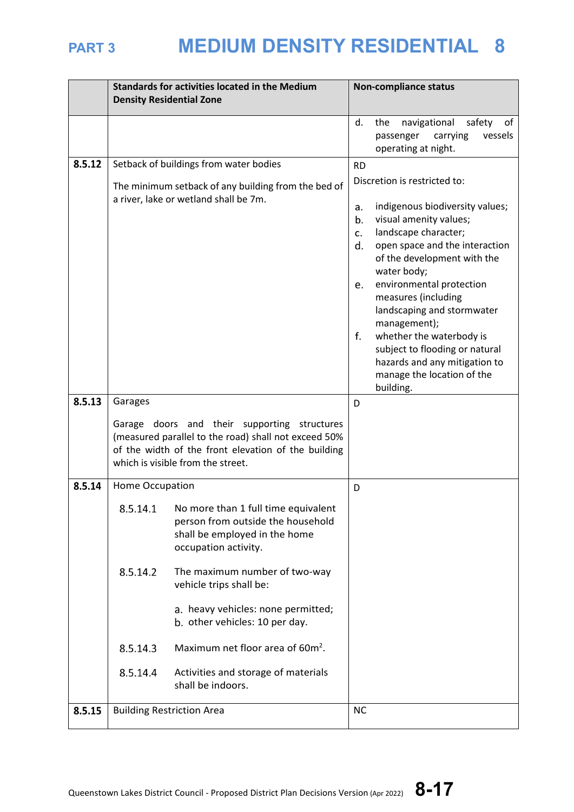|        |                      | <b>Standards for activities located in the Medium</b><br><b>Density Residential Zone</b>                                                                                                                                                                              | <b>Non-compliance status</b>     |                                                                                                                                                                                                                                                                                                                                                                                                                                 |
|--------|----------------------|-----------------------------------------------------------------------------------------------------------------------------------------------------------------------------------------------------------------------------------------------------------------------|----------------------------------|---------------------------------------------------------------------------------------------------------------------------------------------------------------------------------------------------------------------------------------------------------------------------------------------------------------------------------------------------------------------------------------------------------------------------------|
|        |                      |                                                                                                                                                                                                                                                                       | d.                               | navigational<br>the<br>safety<br>of<br>carrying<br>vessels<br>passenger<br>operating at night.                                                                                                                                                                                                                                                                                                                                  |
| 8.5.12 |                      | Setback of buildings from water bodies                                                                                                                                                                                                                                | <b>RD</b>                        |                                                                                                                                                                                                                                                                                                                                                                                                                                 |
|        |                      | The minimum setback of any building from the bed of<br>a river, lake or wetland shall be 7m.                                                                                                                                                                          | a.<br>b.<br>c.<br>d.<br>e.<br>f. | Discretion is restricted to:<br>indigenous biodiversity values;<br>visual amenity values;<br>landscape character;<br>open space and the interaction<br>of the development with the<br>water body;<br>environmental protection<br>measures (including<br>landscaping and stormwater<br>management);<br>whether the waterbody is<br>subject to flooding or natural<br>hazards and any mitigation to<br>manage the location of the |
|        |                      |                                                                                                                                                                                                                                                                       |                                  | building.                                                                                                                                                                                                                                                                                                                                                                                                                       |
| 8.5.13 | Garages              |                                                                                                                                                                                                                                                                       | D                                |                                                                                                                                                                                                                                                                                                                                                                                                                                 |
|        |                      | Garage doors and their supporting structures<br>(measured parallel to the road) shall not exceed 50%<br>of the width of the front elevation of the building<br>which is visible from the street.                                                                      |                                  |                                                                                                                                                                                                                                                                                                                                                                                                                                 |
| 8.5.14 | Home Occupation      |                                                                                                                                                                                                                                                                       | D                                |                                                                                                                                                                                                                                                                                                                                                                                                                                 |
|        | 8.5.14.1<br>8.5.14.2 | No more than 1 full time equivalent<br>person from outside the household<br>shall be employed in the home<br>occupation activity.<br>The maximum number of two-way<br>vehicle trips shall be:<br>a. heavy vehicles: none permitted;<br>b. other vehicles: 10 per day. |                                  |                                                                                                                                                                                                                                                                                                                                                                                                                                 |
|        |                      |                                                                                                                                                                                                                                                                       |                                  |                                                                                                                                                                                                                                                                                                                                                                                                                                 |
|        | 8.5.14.3             | Maximum net floor area of 60m <sup>2</sup> .                                                                                                                                                                                                                          |                                  |                                                                                                                                                                                                                                                                                                                                                                                                                                 |
|        | 8.5.14.4             | Activities and storage of materials<br>shall be indoors.                                                                                                                                                                                                              |                                  |                                                                                                                                                                                                                                                                                                                                                                                                                                 |
| 8.5.15 |                      | <b>Building Restriction Area</b>                                                                                                                                                                                                                                      | <b>NC</b>                        |                                                                                                                                                                                                                                                                                                                                                                                                                                 |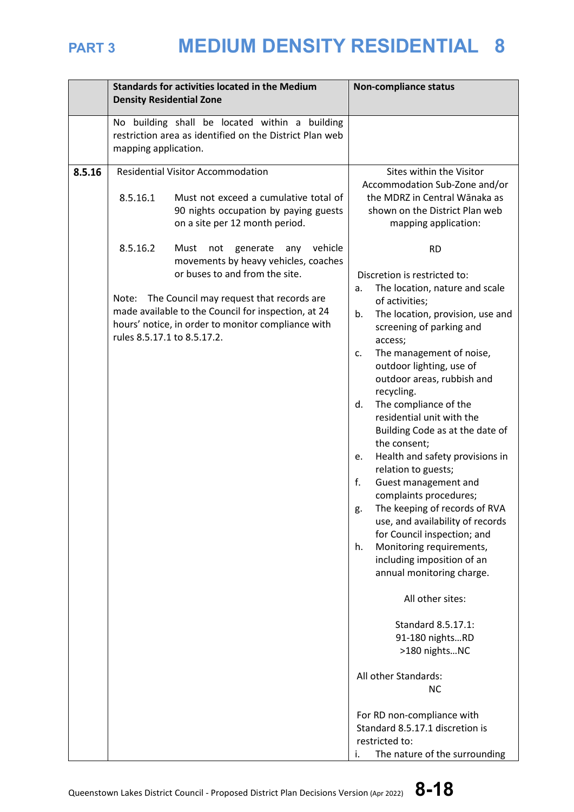|        | <b>Standards for activities located in the Medium</b><br><b>Density Residential Zone</b> |                                                                                                                                                                                                                                                                                                                                 | <b>Non-compliance status</b>                                                                                                                                                                                                                                                                                                                                                                                                                                                                                                                                                                                                                                                                                                                                                                                                                                                       |  |  |
|--------|------------------------------------------------------------------------------------------|---------------------------------------------------------------------------------------------------------------------------------------------------------------------------------------------------------------------------------------------------------------------------------------------------------------------------------|------------------------------------------------------------------------------------------------------------------------------------------------------------------------------------------------------------------------------------------------------------------------------------------------------------------------------------------------------------------------------------------------------------------------------------------------------------------------------------------------------------------------------------------------------------------------------------------------------------------------------------------------------------------------------------------------------------------------------------------------------------------------------------------------------------------------------------------------------------------------------------|--|--|
|        | mapping application.                                                                     | No building shall be located within a building<br>restriction area as identified on the District Plan web                                                                                                                                                                                                                       |                                                                                                                                                                                                                                                                                                                                                                                                                                                                                                                                                                                                                                                                                                                                                                                                                                                                                    |  |  |
| 8.5.16 | 8.5.16.1<br>8.5.16.2<br>Note:                                                            | <b>Residential Visitor Accommodation</b><br>Must not exceed a cumulative total of<br>90 nights occupation by paying guests<br>on a site per 12 month period.<br>vehicle<br>Must<br>not<br>generate<br>any<br>movements by heavy vehicles, coaches<br>or buses to and from the site.<br>The Council may request that records are | Sites within the Visitor<br>Accommodation Sub-Zone and/or<br>the MDRZ in Central Wānaka as<br>shown on the District Plan web<br>mapping application:<br><b>RD</b><br>Discretion is restricted to:<br>The location, nature and scale<br>a.<br>of activities;                                                                                                                                                                                                                                                                                                                                                                                                                                                                                                                                                                                                                        |  |  |
|        | rules 8.5.17.1 to 8.5.17.2.                                                              | made available to the Council for inspection, at 24<br>hours' notice, in order to monitor compliance with                                                                                                                                                                                                                       | b.<br>The location, provision, use and<br>screening of parking and<br>access;<br>The management of noise,<br>c.<br>outdoor lighting, use of<br>outdoor areas, rubbish and<br>recycling.<br>The compliance of the<br>d.<br>residential unit with the<br>Building Code as at the date of<br>the consent;<br>Health and safety provisions in<br>e.<br>relation to guests;<br>f.<br>Guest management and<br>complaints procedures;<br>The keeping of records of RVA<br>g.<br>use, and availability of records<br>for Council inspection; and<br>Monitoring requirements,<br>h.<br>including imposition of an<br>annual monitoring charge.<br>All other sites:<br>Standard 8.5.17.1:<br>91-180 nightsRD<br>>180 nightsNC<br>All other Standards:<br><b>NC</b><br>For RD non-compliance with<br>Standard 8.5.17.1 discretion is<br>restricted to:<br>The nature of the surrounding<br>i. |  |  |

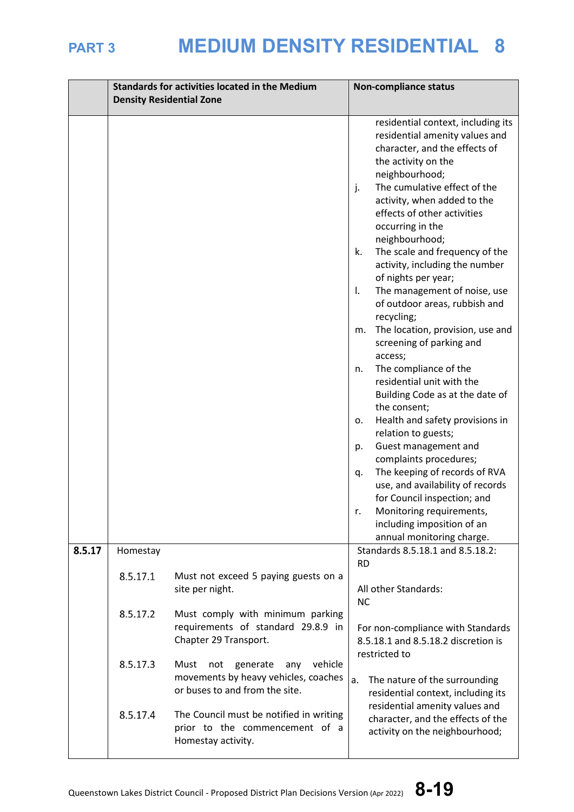|        |          | <b>Standards for activities located in the Medium</b><br><b>Density Residential Zone</b>                            | <b>Non-compliance status</b>                                                                                                                                                                                                                                                                                                                                                                                                                                                                                                                                                                                                                                                                                                                                                                                                                                                                                                                       |  |
|--------|----------|---------------------------------------------------------------------------------------------------------------------|----------------------------------------------------------------------------------------------------------------------------------------------------------------------------------------------------------------------------------------------------------------------------------------------------------------------------------------------------------------------------------------------------------------------------------------------------------------------------------------------------------------------------------------------------------------------------------------------------------------------------------------------------------------------------------------------------------------------------------------------------------------------------------------------------------------------------------------------------------------------------------------------------------------------------------------------------|--|
|        |          |                                                                                                                     | residential context, including its<br>residential amenity values and<br>character, and the effects of<br>the activity on the<br>neighbourhood;<br>The cumulative effect of the<br>j.<br>activity, when added to the<br>effects of other activities<br>occurring in the<br>neighbourhood;<br>The scale and frequency of the<br>k.<br>activity, including the number<br>of nights per year;<br>The management of noise, use<br>Ι.<br>of outdoor areas, rubbish and<br>recycling;<br>The location, provision, use and<br>m.<br>screening of parking and<br>access;<br>The compliance of the<br>n.<br>residential unit with the<br>Building Code as at the date of<br>the consent;<br>Health and safety provisions in<br>о.<br>relation to guests;<br>Guest management and<br>p.<br>complaints procedures;<br>The keeping of records of RVA<br>q.<br>use, and availability of records<br>for Council inspection; and<br>Monitoring requirements,<br>Ι. |  |
| 8.5.17 | Homestay |                                                                                                                     | including imposition of an<br>annual monitoring charge.<br>Standards 8.5.18.1 and 8.5.18.2:                                                                                                                                                                                                                                                                                                                                                                                                                                                                                                                                                                                                                                                                                                                                                                                                                                                        |  |
|        | 8.5.17.1 | Must not exceed 5 paying guests on a<br>site per night.                                                             | <b>RD</b><br>All other Standards:<br><b>NC</b>                                                                                                                                                                                                                                                                                                                                                                                                                                                                                                                                                                                                                                                                                                                                                                                                                                                                                                     |  |
|        | 8.5.17.2 | Must comply with minimum parking<br>requirements of standard 29.8.9 in<br>Chapter 29 Transport.                     | For non-compliance with Standards<br>8.5.18.1 and 8.5.18.2 discretion is                                                                                                                                                                                                                                                                                                                                                                                                                                                                                                                                                                                                                                                                                                                                                                                                                                                                           |  |
|        | 8.5.17.3 | vehicle<br>Must<br>generate<br>not<br>any<br>movements by heavy vehicles, coaches<br>or buses to and from the site. | restricted to<br>a.<br>The nature of the surrounding<br>residential context, including its                                                                                                                                                                                                                                                                                                                                                                                                                                                                                                                                                                                                                                                                                                                                                                                                                                                         |  |
|        | 8.5.17.4 | The Council must be notified in writing<br>prior to the commencement of a<br>Homestay activity.                     | residential amenity values and<br>character, and the effects of the<br>activity on the neighbourhood;                                                                                                                                                                                                                                                                                                                                                                                                                                                                                                                                                                                                                                                                                                                                                                                                                                              |  |